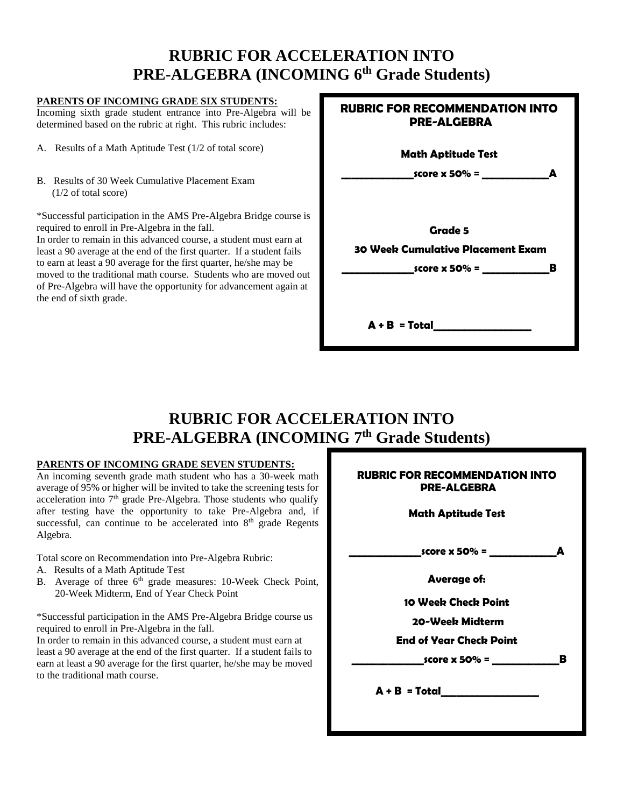# **RUBRIC FOR ACCELERATION INTO PRE-ALGEBRA (INCOMING 6 th Grade Students)**

### **PARENTS OF INCOMING GRADE SIX STUDENTS:**

Incoming sixth grade student entrance into Pre-Algebra will be determined based on the rubric at right. This rubric includes:

- A. Results of a Math Aptitude Test (1/2 of total score)
- B. Results of 30 Week Cumulative Placement Exam (1/2 of total score)

\*Successful participation in the AMS Pre-Algebra Bridge course is required to enroll in Pre-Algebra in the fall.

In order to remain in this advanced course, a student must earn at least a 90 average at the end of the first quarter. If a student fails to earn at least a 90 average for the first quarter, he/she may be moved to the traditional math course. Students who are moved out of Pre-Algebra will have the opportunity for advancement again at the end of sixth grade.

| <b>RUBRIC FOR RECOMMENDATION INTO</b><br>PRE-ALGEBRA |
|------------------------------------------------------|
| <b>Math Aptitude Test</b>                            |
| A                                                    |
| Grade 5<br>30 Week Cumulative Placement Exam         |
| A + B  = Total                                       |

# **RUBRIC FOR ACCELERATION INTO PRE-ALGEBRA (INCOMING 7 th Grade Students)**

#### **PARENTS OF INCOMING GRADE SEVEN STUDENTS:**

An incoming seventh grade math student who has a 30-week math average of 95% or higher will be invited to take the screening tests for acceleration into  $7<sup>th</sup>$  grade Pre-Algebra. Those students who qualify after testing have the opportunity to take Pre-Algebra and, if successful, can continue to be accelerated into  $8<sup>th</sup>$  grade Regents Algebra.

Total score on Recommendation into Pre-Algebra Rubric:

- A. Results of a Math Aptitude Test
- B. Average of three 6<sup>th</sup> grade measures: 10-Week Check Point, 20-Week Midterm, End of Year Check Point

\*Successful participation in the AMS Pre-Algebra Bridge course us required to enroll in Pre-Algebra in the fall.

In order to remain in this advanced course, a student must earn at least a 90 average at the end of the first quarter. If a student fails to earn at least a 90 average for the first quarter, he/she may be moved to the traditional math course.

| <b>RUBRIC FOR RECOMMENDATION INTO</b><br><b>PRE-ALGEBRA</b> |
|-------------------------------------------------------------|
| <b>Math Aptitude Test</b>                                   |
| score x 50% =<br>Δ                                          |
| <b>Average of:</b>                                          |
| 10 Weeb Checb Point                                         |
| 20-Weeb Midterm                                             |
| End of Year Check Point                                     |
| B<br>$\frac{1}{2}$ score x 50% = $\frac{1}{2}$              |
| A + B = Total                                               |